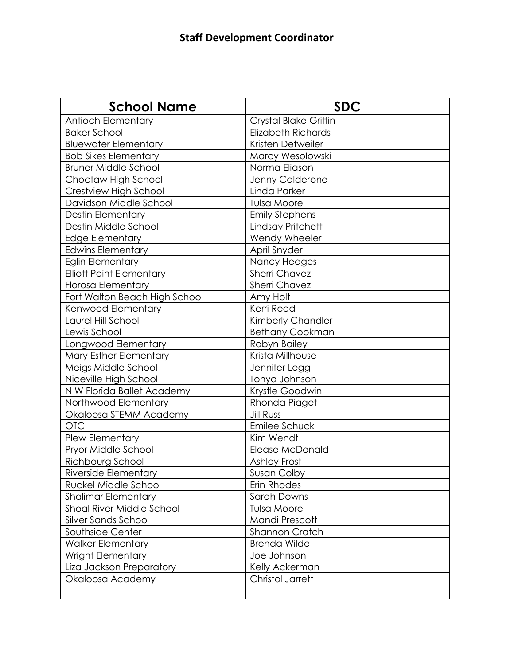| <b>School Name</b>              | <b>SDC</b>                |
|---------------------------------|---------------------------|
| <b>Antioch Elementary</b>       | Crystal Blake Griffin     |
| <b>Baker School</b>             | <b>Elizabeth Richards</b> |
| <b>Bluewater Elementary</b>     | Kristen Detweiler         |
| <b>Bob Sikes Elementary</b>     | Marcy Wesolowski          |
| <b>Bruner Middle School</b>     | Norma Eliason             |
| Choctaw High School             | Jenny Calderone           |
| Crestview High School           | Linda Parker              |
| Davidson Middle School          | <b>Tulsa Moore</b>        |
| <b>Destin Elementary</b>        | <b>Emily Stephens</b>     |
| Destin Middle School            | Lindsay Pritchett         |
| Edge Elementary                 | Wendy Wheeler             |
| <b>Edwins Elementary</b>        | April Snyder              |
| <b>Eglin Elementary</b>         | Nancy Hedges              |
| <b>Elliott Point Elementary</b> | <b>Sherri Chavez</b>      |
| <b>Florosa Elementary</b>       | <b>Sherri Chavez</b>      |
| Fort Walton Beach High School   | Amy Holt                  |
| Kenwood Elementary              | Kerri Reed                |
| Laurel Hill School              | Kimberly Chandler         |
| Lewis School                    | <b>Bethany Cookman</b>    |
| Longwood Elementary             | Robyn Bailey              |
| Mary Esther Elementary          | Krista Millhouse          |
| Meigs Middle School             | Jennifer Legg             |
| Niceville High School           | Tonya Johnson             |
| N W Florida Ballet Academy      | Krystle Goodwin           |
| Northwood Elementary            | Rhonda Piaget             |
| Okaloosa STEMM Academy          | <b>Jill Russ</b>          |
| <b>OTC</b>                      | Emilee Schuck             |
| Plew Elementary                 | Kim Wendt                 |
| Pryor Middle School             | Elease McDonald           |
| Richbourg School                | <b>Ashley Frost</b>       |
| Riverside Elementary            | Susan Colby               |
| Ruckel Middle School            | Erin Rhodes               |
| <b>Shalimar Elementary</b>      | Sarah Downs               |
| Shoal River Middle School       | <b>Tulsa Moore</b>        |
| Silver Sands School             | Mandi Prescott            |
| Southside Center                | <b>Shannon Cratch</b>     |
| <b>Walker Elementary</b>        | <b>Brenda Wilde</b>       |
| <b>Wright Elementary</b>        | Joe Johnson               |
| Liza Jackson Preparatory        | Kelly Ackerman            |
| Okaloosa Academy                | <b>Christol Jarrett</b>   |
|                                 |                           |